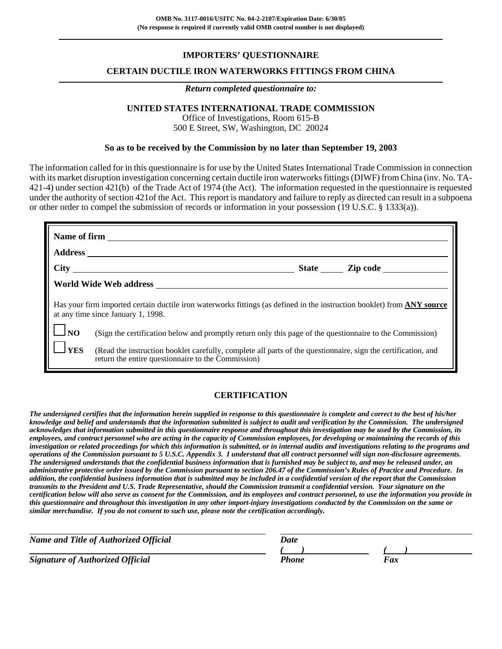### **IMPORTERS' QUESTIONNAIRE**

#### **CERTAIN DUCTILE IRON WATERWORKS FITTINGS FROM CHINA**

#### *Return completed questionnaire to:*

### **UNITED STATES INTERNATIONAL TRADE COMMISSION**

Office of Investigations, Room 615-B 500 E Street, SW, Washington, DC 20024

#### **So as to be received by the Commission by no later than September 19, 2003**

The information called for in this questionnaire is for use by the United States International Trade Commission in connection with its market disruption investigation concerning certain ductile iron waterworks fittings (DIWF) from China (inv. No. TA-421-4) under section 421(b) of the Trade Act of 1974 (the Act). The information requested in the questionnaire is requested under the authority of section 421of the Act. This report is mandatory and failure to reply as directed can result in a subpoena or other order to compel the submission of records or information in your possession (19 U.S.C. § 1333(a)).

|                                         | World Wide Web address <b>with the contract of the Contract of Table 2012</b>                                                                                        |
|-----------------------------------------|----------------------------------------------------------------------------------------------------------------------------------------------------------------------|
|                                         | Has your firm imported certain ductile iron waterworks fittings (as defined in the instruction booklet) from <b>ANY source</b><br>at any time since January 1, 1998. |
| $\mathbf{I}$ $\mathbf{I}$ <sub>NO</sub> | (Sign the certification below and promptly return only this page of the questionnaire to the Commission)                                                             |
| <b>YES</b>                              | (Read the instruction booklet carefully, complete all parts of the questionnaire, sign the certification, and<br>return the entire questionnaire to the Commission)  |

#### **CERTIFICATION**

*The undersigned certifies that the information herein supplied in response to this questionnaire is complete and correct to the best of his/her knowledge and belief and understands that the information submitted is subject to audit and verification by the Commission. The undersigned acknowledges that information submitted in this questionnaire response and throughout this investigation may be used by the Commission, its employees, and contract personnel who are acting in the capacity of Commission employees, for developing or maintaining the records of this investigation or related proceedings for which this information is submitted, or in internal audits and investigations relating to the programs and operations of the Commission pursuant to 5 U.S.C. Appendix 3. I understand that all contract personnel will sign non-disclosure agreements. The undersigned understands that the confidential business information that is furnished may be subject to, and may be released under, an administrative protective order issued by the Commission pursuant to section 206.47 of the Commission's Rules of Practice and Procedure. In addition, the confidential business information that is submitted may be included in a confidential version of the report that the Commission transmits to the President and U.S. Trade Representative, should the Commission transmit a confidential version. Your signature on the certification below will also serve as consent for the Commission, and its employees and contract personnel, to use the information you provide in this questionnaire and throughout this investigation in any other import-injury investigations conducted by the Commission on the same or similar merchandise. If you do not consent to such use, please note the certification accordingly.*

| <b>Name and Title of Authorized Official</b> | Date  |    |  |
|----------------------------------------------|-------|----|--|
|                                              |       |    |  |
| <b>Signature of Authorized Official</b>      | Phone | Fx |  |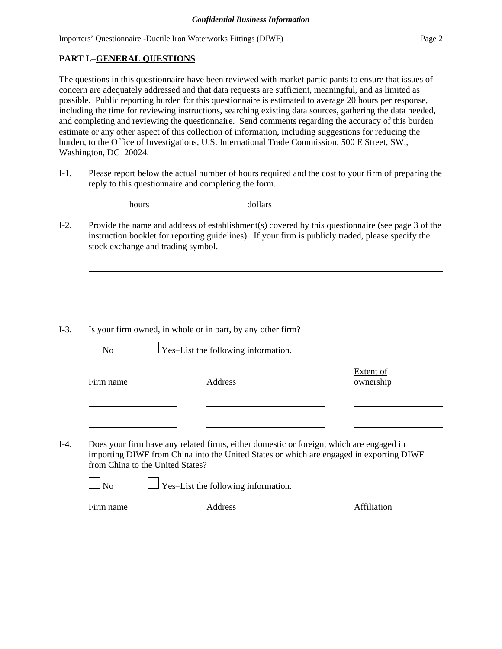# **PART I.**–**GENERAL QUESTIONS**

The questions in this questionnaire have been reviewed with market participants to ensure that issues of concern are adequately addressed and that data requests are sufficient, meaningful, and as limited as possible. Public reporting burden for this questionnaire is estimated to average 20 hours per response, including the time for reviewing instructions, searching existing data sources, gathering the data needed, and completing and reviewing the questionnaire. Send comments regarding the accuracy of this burden estimate or any other aspect of this collection of information, including suggestions for reducing the burden, to the Office of Investigations, U.S. International Trade Commission, 500 E Street, SW., Washington, DC 20024.

I-1. Please report below the actual number of hours required and the cost to your firm of preparing the reply to this questionnaire and completing the form.

| hours | dollars |
|-------|---------|
|       |         |

I-2. Provide the name and address of establishment(s) covered by this questionnaire (see page 3 of the instruction booklet for reporting guidelines). If your firm is publicly traded, please specify the stock exchange and trading symbol.

I-3. Is your firm owned, in whole or in part, by any other firm?

 $\Box$  No  $\Box$  Yes–List the following information.

|      | Firm name                        | Address                                                                                 | ownership |
|------|----------------------------------|-----------------------------------------------------------------------------------------|-----------|
| I-4. |                                  | Does your firm have any related firms, either domestic or foreign, which are engaged in |           |
|      | from China to the United States? | importing DIWF from China into the United States or which are engaged in exporting DIWF |           |
|      |                                  | $\Box$ Yes-List the following information.                                              |           |

| Firm name | Address | Affiliation |
|-----------|---------|-------------|
|           |         |             |

Extent of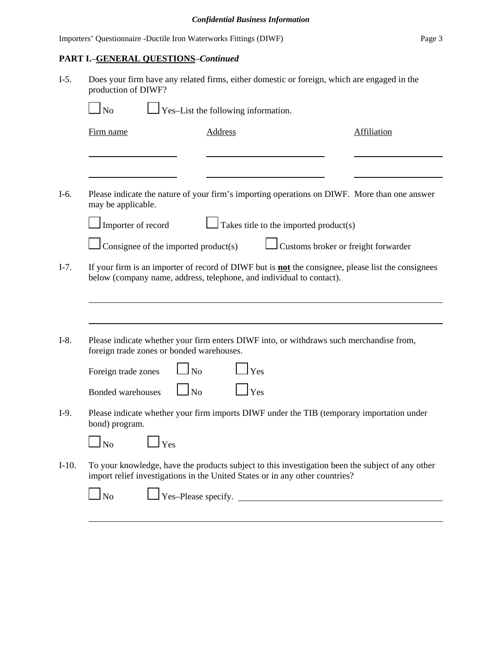|  | Importers' Questionnaire -Ductile Iron Waterworks Fittings (DIWF) | Page 3 |
|--|-------------------------------------------------------------------|--------|
|--|-------------------------------------------------------------------|--------|

# **PART I.**–**GENERAL QUESTIONS**–*Continued*

| $I-5.$  | Does your firm have any related firms, either domestic or foreign, which are engaged in the<br>production of DIWF? |                                                                                                                                                                                   |                    |  |  |  |
|---------|--------------------------------------------------------------------------------------------------------------------|-----------------------------------------------------------------------------------------------------------------------------------------------------------------------------------|--------------------|--|--|--|
|         | $\Box$ No                                                                                                          | $\perp$ Yes-List the following information.                                                                                                                                       |                    |  |  |  |
|         | Firm name                                                                                                          | <b>Address</b>                                                                                                                                                                    | <b>Affiliation</b> |  |  |  |
|         |                                                                                                                    |                                                                                                                                                                                   |                    |  |  |  |
| I-6.    |                                                                                                                    | Please indicate the nature of your firm's importing operations on DIWF. More than one answer                                                                                      |                    |  |  |  |
|         | may be applicable.                                                                                                 |                                                                                                                                                                                   |                    |  |  |  |
|         | Importer of record                                                                                                 | Takes title to the imported product(s)                                                                                                                                            |                    |  |  |  |
|         | Consignee of the imported product(s)                                                                               | Customs broker or freight forwarder                                                                                                                                               |                    |  |  |  |
| $I-7.$  |                                                                                                                    | If your firm is an importer of record of DIWF but is <b>not</b> the consignee, please list the consignees<br>below (company name, address, telephone, and individual to contact). |                    |  |  |  |
|         |                                                                                                                    |                                                                                                                                                                                   |                    |  |  |  |
| $I-8.$  | foreign trade zones or bonded warehouses.                                                                          | Please indicate whether your firm enters DIWF into, or withdraws such merchandise from,                                                                                           |                    |  |  |  |
|         | N <sub>0</sub><br>Foreign trade zones                                                                              | Yes                                                                                                                                                                               |                    |  |  |  |
|         | N <sub>o</sub><br><b>Bonded warehouses</b>                                                                         | Yes                                                                                                                                                                               |                    |  |  |  |
| $I-9.$  | bond) program.                                                                                                     | Please indicate whether your firm imports DIWF under the TIB (temporary importation under                                                                                         |                    |  |  |  |
|         | No<br>Yes                                                                                                          |                                                                                                                                                                                   |                    |  |  |  |
| $I-10.$ |                                                                                                                    | To your knowledge, have the products subject to this investigation been the subject of any other<br>import relief investigations in the United States or in any other countries?  |                    |  |  |  |
|         | $\Box$ No                                                                                                          | $\frac{1}{1}$ Yes-Please specify.                                                                                                                                                 |                    |  |  |  |
|         |                                                                                                                    |                                                                                                                                                                                   |                    |  |  |  |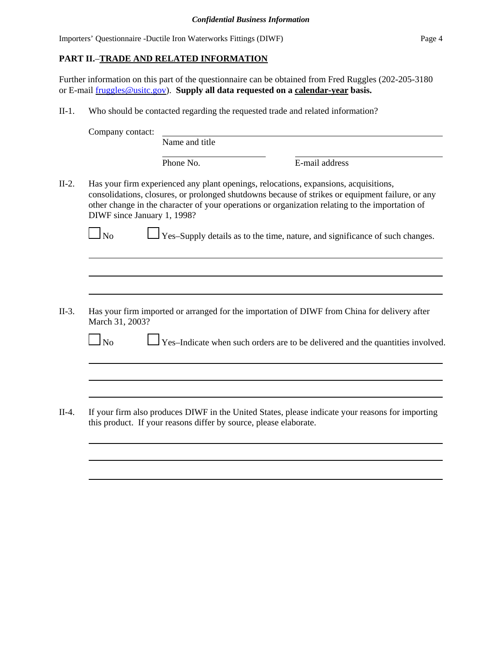### **PART II.**–**TRADE AND RELATED INFORMATION**

Further information on this part of the questionnaire can be obtained from Fred Ruggles (202-205-3180 or E-mail fruggles@usitc.gov). **Supply all data requested on a calendar-year basis.**

II-1. Who should be contacted regarding the requested trade and related information?

| Company contact:            |                                                                   |                                                                                                                                                                                                                                                                                             |  |
|-----------------------------|-------------------------------------------------------------------|---------------------------------------------------------------------------------------------------------------------------------------------------------------------------------------------------------------------------------------------------------------------------------------------|--|
|                             | Name and title                                                    |                                                                                                                                                                                                                                                                                             |  |
|                             | Phone No.                                                         | E-mail address                                                                                                                                                                                                                                                                              |  |
| DIWF since January 1, 1998? |                                                                   | Has your firm experienced any plant openings, relocations, expansions, acquisitions,<br>consolidations, closures, or prolonged shutdowns because of strikes or equipment failure, or any<br>other change in the character of your operations or organization relating to the importation of |  |
| $\Box$ No                   |                                                                   | Yes-Supply details as to the time, nature, and significance of such changes.                                                                                                                                                                                                                |  |
|                             |                                                                   |                                                                                                                                                                                                                                                                                             |  |
|                             |                                                                   |                                                                                                                                                                                                                                                                                             |  |
| March 31, 2003?             |                                                                   | Has your firm imported or arranged for the importation of DIWF from China for delivery after                                                                                                                                                                                                |  |
| N <sub>o</sub>              |                                                                   | Yes-Indicate when such orders are to be delivered and the quantities involved.                                                                                                                                                                                                              |  |
|                             |                                                                   |                                                                                                                                                                                                                                                                                             |  |
|                             |                                                                   |                                                                                                                                                                                                                                                                                             |  |
|                             | this product. If your reasons differ by source, please elaborate. | If your firm also produces DIWF in the United States, please indicate your reasons for importing                                                                                                                                                                                            |  |
|                             |                                                                   |                                                                                                                                                                                                                                                                                             |  |
|                             |                                                                   |                                                                                                                                                                                                                                                                                             |  |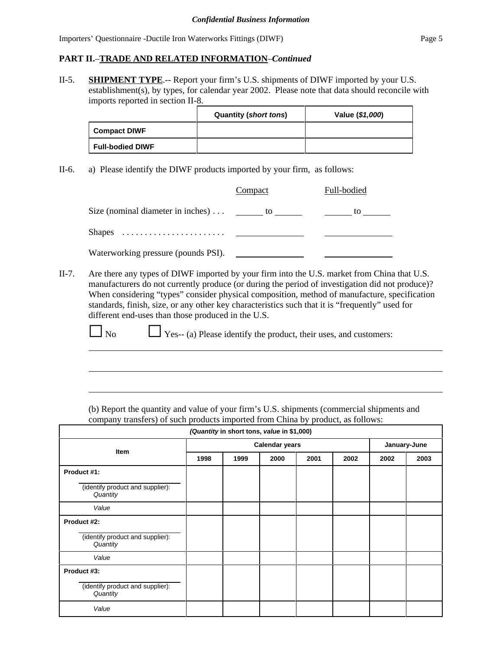#### **PART II.**–**TRADE AND RELATED INFORMATION**–*Continued*

II-5. **SHIPMENT TYPE**.-- Report your firm's U.S. shipments of DIWF imported by your U.S. establishment(s), by types, for calendar year 2002. Please note that data should reconcile with imports reported in section II-8.

|                         | <b>Quantity (short tons)</b> | Value (\$1,000) |
|-------------------------|------------------------------|-----------------|
| <b>Compact DIWF</b>     |                              |                 |
| <b>Full-bodied DIWF</b> |                              |                 |

II-6. a) Please identify the DIWF products imported by your firm, as follows:

|                                       | Compact | Full-bodied |
|---------------------------------------|---------|-------------|
| Size (nominal diameter in inches)  to |         | to          |
|                                       |         |             |
| Waterworking pressure (pounds PSI).   |         |             |

II-7. Are there any types of DIWF imported by your firm into the U.S. market from China that U.S. manufacturers do not currently produce (or during the period of investigation did not produce)? When considering "types" consider physical composition, method of manufacture, specification standards, finish, size, or any other key characteristics such that it is "frequently" used for different end-uses than those produced in the U.S.

 $\Box$  No  $\Box$  Yes-- (a) Please identify the product, their uses, and customers:  $\overline{a}$ 

 $\overline{a}$ 

(b) Report the quantity and value of your firm's U.S. shipments (commercial shipments and company transfers) of such products imported from China by product, as follows:

| (Quantity in short tons, value in \$1,000)   |      |                       |      |      |      |      |              |  |
|----------------------------------------------|------|-----------------------|------|------|------|------|--------------|--|
|                                              |      | <b>Calendar years</b> |      |      |      |      | January-June |  |
| Item                                         | 1998 | 1999                  | 2000 | 2001 | 2002 | 2002 | 2003         |  |
| Product #1:                                  |      |                       |      |      |      |      |              |  |
| (identify product and supplier):<br>Quantity |      |                       |      |      |      |      |              |  |
| Value                                        |      |                       |      |      |      |      |              |  |
| Product #2:                                  |      |                       |      |      |      |      |              |  |
| (identify product and supplier):<br>Quantity |      |                       |      |      |      |      |              |  |
| Value                                        |      |                       |      |      |      |      |              |  |
| Product #3:                                  |      |                       |      |      |      |      |              |  |
| (identify product and supplier):<br>Quantity |      |                       |      |      |      |      |              |  |
| Value                                        |      |                       |      |      |      |      |              |  |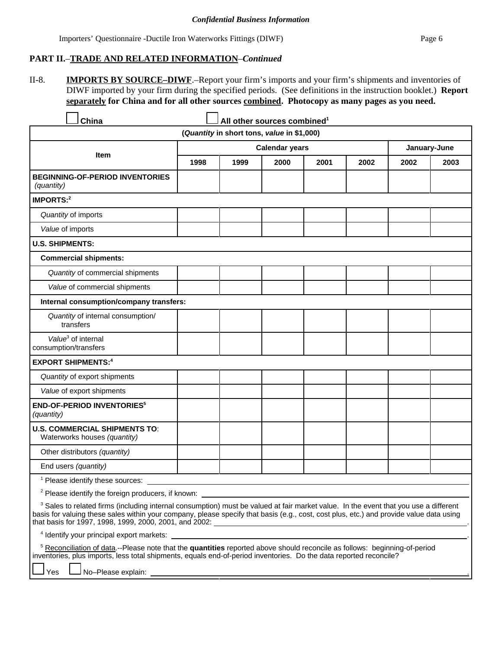## **PART II.**–**TRADE AND RELATED INFORMATION**–*Continued*

II-8. **IMPORTS BY SOURCE–DIWF**.–Report your firm's imports and your firm's shipments and inventories of DIWF imported by your firm during the specified periods. (See definitions in the instruction booklet.) **Report separately for China and for all other sources combined. Photocopy as many pages as you need.**

| China                                                                                                                                                                                                                                                                                                                                                |      |                                            | All other sources combined <sup>1</sup> |      |      |              |      |
|------------------------------------------------------------------------------------------------------------------------------------------------------------------------------------------------------------------------------------------------------------------------------------------------------------------------------------------------------|------|--------------------------------------------|-----------------------------------------|------|------|--------------|------|
|                                                                                                                                                                                                                                                                                                                                                      |      | (Quantity in short tons, value in \$1,000) |                                         |      |      |              |      |
|                                                                                                                                                                                                                                                                                                                                                      |      |                                            | <b>Calendar years</b>                   |      |      | January-June |      |
| Item                                                                                                                                                                                                                                                                                                                                                 | 1998 | 1999                                       | 2000                                    | 2001 | 2002 | 2002         | 2003 |
| <b>BEGINNING-OF-PERIOD INVENTORIES</b><br>(quantity)                                                                                                                                                                                                                                                                                                 |      |                                            |                                         |      |      |              |      |
| <b>IMPORTS:2</b>                                                                                                                                                                                                                                                                                                                                     |      |                                            |                                         |      |      |              |      |
| Quantity of imports                                                                                                                                                                                                                                                                                                                                  |      |                                            |                                         |      |      |              |      |
| Value of imports                                                                                                                                                                                                                                                                                                                                     |      |                                            |                                         |      |      |              |      |
| <b>U.S. SHIPMENTS:</b>                                                                                                                                                                                                                                                                                                                               |      |                                            |                                         |      |      |              |      |
| <b>Commercial shipments:</b>                                                                                                                                                                                                                                                                                                                         |      |                                            |                                         |      |      |              |      |
| Quantity of commercial shipments                                                                                                                                                                                                                                                                                                                     |      |                                            |                                         |      |      |              |      |
| Value of commercial shipments                                                                                                                                                                                                                                                                                                                        |      |                                            |                                         |      |      |              |      |
| Internal consumption/company transfers:                                                                                                                                                                                                                                                                                                              |      |                                            |                                         |      |      |              |      |
| Quantity of internal consumption/<br>transfers                                                                                                                                                                                                                                                                                                       |      |                                            |                                         |      |      |              |      |
| Value <sup>3</sup> of internal<br>consumption/transfers                                                                                                                                                                                                                                                                                              |      |                                            |                                         |      |      |              |      |
| <b>EXPORT SHIPMENTS:4</b>                                                                                                                                                                                                                                                                                                                            |      |                                            |                                         |      |      |              |      |
| Quantity of export shipments                                                                                                                                                                                                                                                                                                                         |      |                                            |                                         |      |      |              |      |
| Value of export shipments                                                                                                                                                                                                                                                                                                                            |      |                                            |                                         |      |      |              |      |
| <b>END-OF-PERIOD INVENTORIES<sup>5</sup></b><br>(quantity)                                                                                                                                                                                                                                                                                           |      |                                            |                                         |      |      |              |      |
| <b>U.S. COMMERCIAL SHIPMENTS TO:</b><br>Waterworks houses (quantity)                                                                                                                                                                                                                                                                                 |      |                                            |                                         |      |      |              |      |
| Other distributors (quantity)                                                                                                                                                                                                                                                                                                                        |      |                                            |                                         |      |      |              |      |
| End users (quantity)                                                                                                                                                                                                                                                                                                                                 |      |                                            |                                         |      |      |              |      |
| <sup>1</sup> Please identify these sources:                                                                                                                                                                                                                                                                                                          |      |                                            |                                         |      |      |              |      |
| <sup>2</sup> Please identify the foreign producers, if known:                                                                                                                                                                                                                                                                                        |      |                                            |                                         |      |      |              |      |
| <sup>3</sup> Sales to related firms (including internal consumption) must be valued at fair market value. In the event that you use a different<br>basis for valuing these sales within your company, please specify that basis (e.g., cost, cost plus, etc.) and provide value data using<br>that basis for 1997, 1998, 1999, 2000, 2001, and 2002: |      |                                            |                                         |      |      |              |      |
| <sup>4</sup> Identify your principal export markets:                                                                                                                                                                                                                                                                                                 |      |                                            |                                         |      |      |              |      |
| <sup>5</sup> Reconciliation of data.--Please note that the quantities reported above should reconcile as follows: beginning-of-period<br>inventories, plus imports, less total shipments, equals end-of-period inventories. Do the data reported reconcile?                                                                                          |      |                                            |                                         |      |      |              |      |

Yes  $L$  No–Please explain:

ſ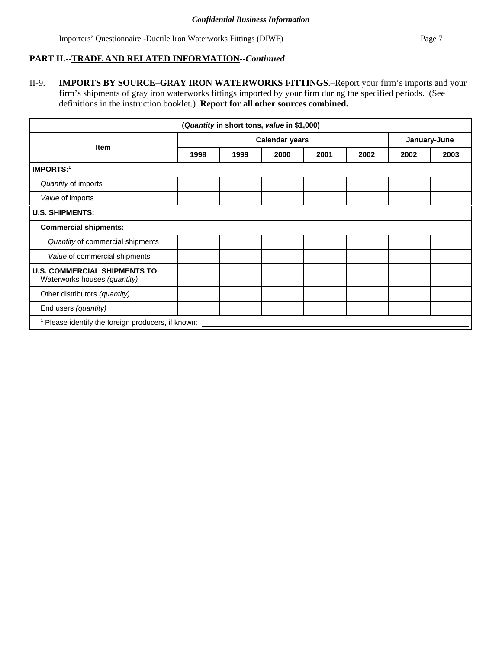## **PART II.--TRADE AND RELATED INFORMATION--***Continued*

II-9. **IMPORTS BY SOURCE–GRAY IRON WATERWORKS FITTINGS**.–Report your firm's imports and your firm's shipments of gray iron waterworks fittings imported by your firm during the specified periods. (See definitions in the instruction booklet.) **Report for all other sources combined.** 

| (Quantity in short tons, value in \$1,000)                           |                       |      |      |      |              |      |      |
|----------------------------------------------------------------------|-----------------------|------|------|------|--------------|------|------|
|                                                                      | <b>Calendar years</b> |      |      |      | January-June |      |      |
| <b>Item</b>                                                          | 1998                  | 1999 | 2000 | 2001 | 2002         | 2002 | 2003 |
| <b>IMPORTS:1</b>                                                     |                       |      |      |      |              |      |      |
| Quantity of imports                                                  |                       |      |      |      |              |      |      |
| Value of imports                                                     |                       |      |      |      |              |      |      |
| <b>U.S. SHIPMENTS:</b>                                               |                       |      |      |      |              |      |      |
| <b>Commercial shipments:</b>                                         |                       |      |      |      |              |      |      |
| Quantity of commercial shipments                                     |                       |      |      |      |              |      |      |
| Value of commercial shipments                                        |                       |      |      |      |              |      |      |
| <b>U.S. COMMERCIAL SHIPMENTS TO:</b><br>Waterworks houses (quantity) |                       |      |      |      |              |      |      |
| Other distributors (quantity)                                        |                       |      |      |      |              |      |      |
| End users (quantity)                                                 |                       |      |      |      |              |      |      |
| <sup>1</sup> Please identify the foreign producers, if known:        |                       |      |      |      |              |      |      |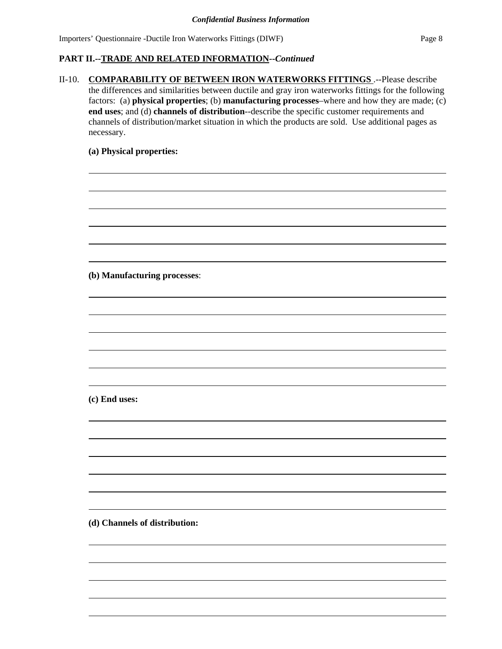# **PART II.--TRADE AND RELATED INFORMATION--***Continued*

II-10. **COMPARABILITY OF BETWEEN IRON WATERWORKS FITTINGS** .--Please describe the differences and similarities between ductile and gray iron waterworks fittings for the following factors: (a) **physical properties**; (b) **manufacturing processes**–where and how they are made; (c) **end uses**; and (d) **channels of distribution**--describe the specific customer requirements and channels of distribution/market situation in which the products are sold. Use additional pages as necessary.

#### **(a) Physical properties:**

**(b) Manufacturing processes**:

**(c) End uses:**

**(d) Channels of distribution:**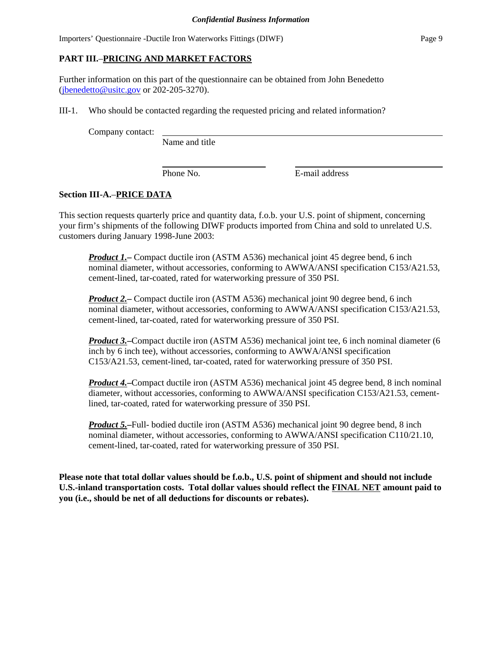#### **PART III.**–**PRICING AND MARKET FACTORS**

Further information on this part of the questionnaire can be obtained from John Benedetto (jbenedetto@usitc.gov or 202-205-3270).

III-1. Who should be contacted regarding the requested pricing and related information?

Company contact:

Name and title

Phone No. **E**-mail address

#### **Section III-A.**–**PRICE DATA**

This section requests quarterly price and quantity data, f.o.b. your U.S. point of shipment, concerning your firm's shipments of the following DIWF products imported from China and sold to unrelated U.S. customers during January 1998-June 2003:

*Product 1.***–** Compact ductile iron (ASTM A536) mechanical joint 45 degree bend, 6 inch nominal diameter, without accessories, conforming to AWWA/ANSI specification C153/A21.53, cement-lined, tar-coated, rated for waterworking pressure of 350 PSI.

*Product 2.***–** Compact ductile iron (ASTM A536) mechanical joint 90 degree bend, 6 inch nominal diameter, without accessories, conforming to AWWA/ANSI specification C153/A21.53, cement-lined, tar-coated, rated for waterworking pressure of 350 PSI.

*Product 3.***–**Compact ductile iron (ASTM A536) mechanical joint tee, 6 inch nominal diameter (6 inch by 6 inch tee), without accessories, conforming to AWWA/ANSI specification C153/A21.53, cement-lined, tar-coated, rated for waterworking pressure of 350 PSI.

*Product 4.***–**Compact ductile iron (ASTM A536) mechanical joint 45 degree bend, 8 inch nominal diameter, without accessories, conforming to AWWA/ANSI specification C153/A21.53, cementlined, tar-coated, rated for waterworking pressure of 350 PSI.

*Product 5.***–**Full- bodied ductile iron (ASTM A536) mechanical joint 90 degree bend, 8 inch nominal diameter, without accessories, conforming to AWWA/ANSI specification C110/21.10, cement-lined, tar-coated, rated for waterworking pressure of 350 PSI.

**Please note that total dollar values should be f.o.b., U.S. point of shipment and should not include U.S.-inland transportation costs. Total dollar values should reflect the FINAL NET amount paid to you (i.e., should be net of all deductions for discounts or rebates).**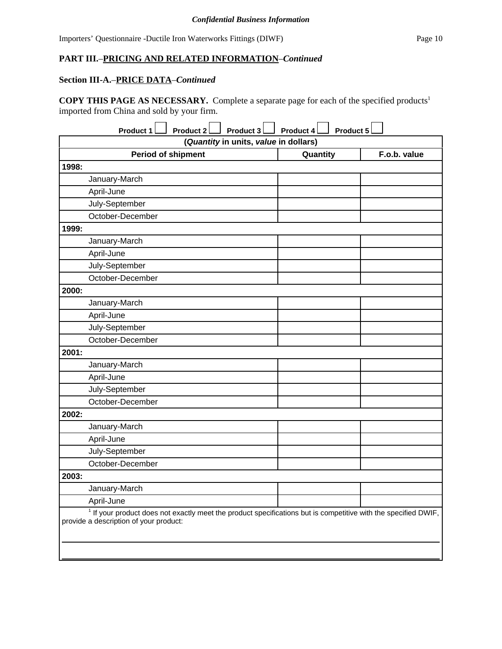#### **PART III.**–**PRICING AND RELATED INFORMATION**–*Continued*

# **Section III-A.**–**PRICE DATA**–*Continued*

**COPY THIS PAGE AS NECESSARY.** Complete a separate page for each of the specified products1 imported from China and sold by your firm.

| Product 1<br><b>Product 2</b><br>Product 3                                                                                                                 | Product 5<br>Product 4 |              |  |  |  |
|------------------------------------------------------------------------------------------------------------------------------------------------------------|------------------------|--------------|--|--|--|
| (Quantity in units, value in dollars)                                                                                                                      |                        |              |  |  |  |
| <b>Period of shipment</b>                                                                                                                                  | Quantity               | F.o.b. value |  |  |  |
| 1998:                                                                                                                                                      |                        |              |  |  |  |
| January-March                                                                                                                                              |                        |              |  |  |  |
| April-June                                                                                                                                                 |                        |              |  |  |  |
| July-September                                                                                                                                             |                        |              |  |  |  |
| October-December                                                                                                                                           |                        |              |  |  |  |
| 1999:                                                                                                                                                      |                        |              |  |  |  |
| January-March                                                                                                                                              |                        |              |  |  |  |
| April-June                                                                                                                                                 |                        |              |  |  |  |
| July-September                                                                                                                                             |                        |              |  |  |  |
| October-December                                                                                                                                           |                        |              |  |  |  |
| 2000:                                                                                                                                                      |                        |              |  |  |  |
| January-March                                                                                                                                              |                        |              |  |  |  |
| April-June                                                                                                                                                 |                        |              |  |  |  |
| July-September                                                                                                                                             |                        |              |  |  |  |
| October-December                                                                                                                                           |                        |              |  |  |  |
| 2001:                                                                                                                                                      |                        |              |  |  |  |
| January-March                                                                                                                                              |                        |              |  |  |  |
| April-June                                                                                                                                                 |                        |              |  |  |  |
| July-September                                                                                                                                             |                        |              |  |  |  |
| October-December                                                                                                                                           |                        |              |  |  |  |
| 2002:                                                                                                                                                      |                        |              |  |  |  |
| January-March                                                                                                                                              |                        |              |  |  |  |
| April-June                                                                                                                                                 |                        |              |  |  |  |
| July-September                                                                                                                                             |                        |              |  |  |  |
| October-December                                                                                                                                           |                        |              |  |  |  |
| 2003:                                                                                                                                                      |                        |              |  |  |  |
| January-March                                                                                                                                              |                        |              |  |  |  |
| April-June                                                                                                                                                 |                        |              |  |  |  |
| $1$ If your product does not exactly meet the product specifications but is competitive with the specified DWIF,<br>provide a description of your product: |                        |              |  |  |  |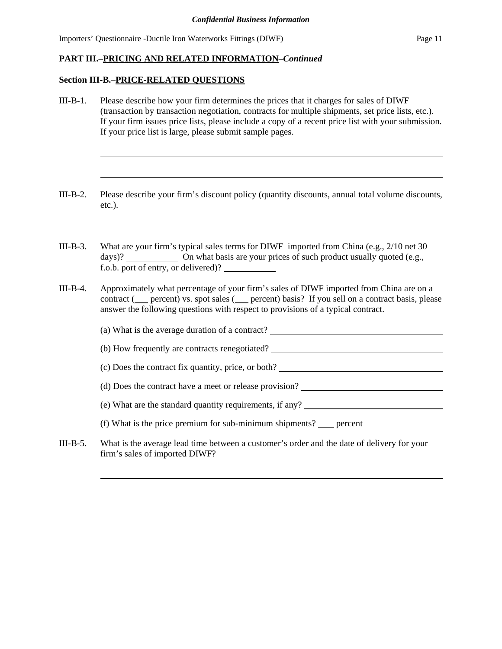#### **PART III.**–**PRICING AND RELATED INFORMATION**–*Continued*

#### **Section III-B.**–**PRICE-RELATED QUESTIONS**

- III-B-1. Please describe how your firm determines the prices that it charges for sales of DIWF (transaction by transaction negotiation, contracts for multiple shipments, set price lists, etc.). If your firm issues price lists, please include a copy of a recent price list with your submission. If your price list is large, please submit sample pages.
- III-B-2. Please describe your firm's discount policy (quantity discounts, annual total volume discounts, etc.).
- III-B-3. What are your firm's typical sales terms for DIWF imported from China (e.g., 2/10 net 30 days)? On what basis are your prices of such product usually quoted (e.g., f.o.b. port of entry, or delivered)?
- III-B-4. Approximately what percentage of your firm's sales of DIWF imported from China are on a contract ( $\equiv$  percent) vs. spot sales ( $\equiv$  percent) basis? If you sell on a contract basis, please answer the following questions with respect to provisions of a typical contract.
- (a) What is the average duration of a contract? (b) How frequently are contracts renegotiated? (c) Does the contract fix quantity, price, or both? (d) Does the contract have a meet or release provision? (e) What are the standard quantity requirements, if any? (f) What is the price premium for sub-minimum shipments?  $\_\_$  percent III-B-5. What is the average lead time between a customer's order and the date of delivery for your firm's sales of imported DIWF?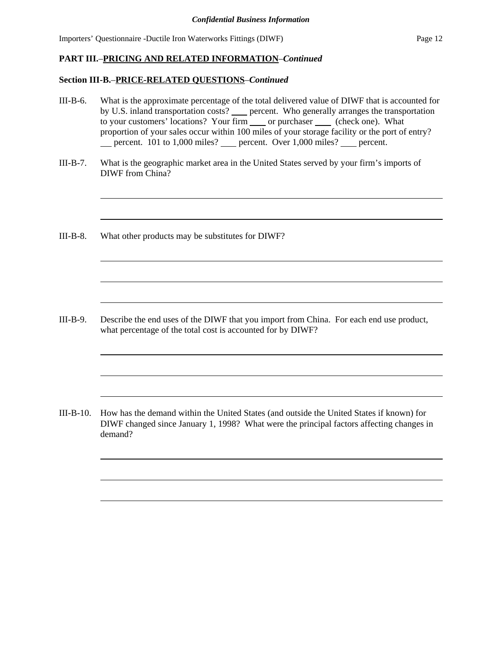# **PART III.**–**PRICING AND RELATED INFORMATION**–*Continued*

# **Section III-B.**–**PRICE-RELATED QUESTIONS**–*Continued*

| III-B-6.   | What is the approximate percentage of the total delivered value of DIWF that is accounted for<br>by U.S. inland transportation costs? ____ percent. Who generally arranges the transportation<br>to your customers' locations? Your firm _____ or purchaser ______ (check one). What<br>proportion of your sales occur within 100 miles of your storage facility or the port of entry?<br>__ percent. 101 to 1,000 miles? __ percent. Over 1,000 miles? __ percent. |
|------------|---------------------------------------------------------------------------------------------------------------------------------------------------------------------------------------------------------------------------------------------------------------------------------------------------------------------------------------------------------------------------------------------------------------------------------------------------------------------|
| $III-B-7.$ | What is the geographic market area in the United States served by your firm's imports of<br>DIWF from China?                                                                                                                                                                                                                                                                                                                                                        |
| III-B-8.   | What other products may be substitutes for DIWF?                                                                                                                                                                                                                                                                                                                                                                                                                    |
|            |                                                                                                                                                                                                                                                                                                                                                                                                                                                                     |
| III-B-9.   | Describe the end uses of the DIWF that you import from China. For each end use product,<br>what percentage of the total cost is accounted for by DIWF?                                                                                                                                                                                                                                                                                                              |
|            |                                                                                                                                                                                                                                                                                                                                                                                                                                                                     |
| III-B-10.  | How has the demand within the United States (and outside the United States if known) for<br>DIWF changed since January 1, 1998? What were the principal factors affecting changes in<br>demand?                                                                                                                                                                                                                                                                     |
|            |                                                                                                                                                                                                                                                                                                                                                                                                                                                                     |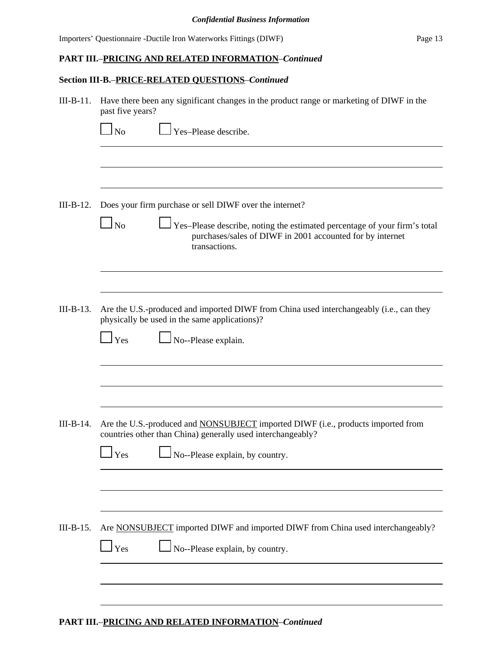### **PART III.**–**PRICING AND RELATED INFORMATION**–*Continued*

# **Section III-B.**–**PRICE-RELATED QUESTIONS**–*Continued*

| $III-B-11.$ | Have there been any significant changes in the product range or marketing of DIWF in the<br>past five years?                                                                      |  |  |  |  |  |
|-------------|-----------------------------------------------------------------------------------------------------------------------------------------------------------------------------------|--|--|--|--|--|
|             | Yes-Please describe.<br>N <sub>o</sub>                                                                                                                                            |  |  |  |  |  |
|             |                                                                                                                                                                                   |  |  |  |  |  |
| $III-B-12.$ | Does your firm purchase or sell DIWF over the internet?                                                                                                                           |  |  |  |  |  |
|             | N <sub>o</sub><br>Yes-Please describe, noting the estimated percentage of your firm's total<br>purchases/sales of DIWF in 2001 accounted for by internet<br>transactions.         |  |  |  |  |  |
|             |                                                                                                                                                                                   |  |  |  |  |  |
| $III-B-13.$ | Are the U.S.-produced and imported DIWF from China used interchangeably (i.e., can they<br>physically be used in the same applications)?<br>No--Please explain.<br>$\mathbf{Yes}$ |  |  |  |  |  |
|             |                                                                                                                                                                                   |  |  |  |  |  |
|             |                                                                                                                                                                                   |  |  |  |  |  |
| $III-B-14.$ | Are the U.S.-produced and <b>NONSUBJECT</b> imported DIWF (i.e., products imported from<br>countries other than China) generally used interchangeably?                            |  |  |  |  |  |
|             | No--Please explain, by country.<br>Yes                                                                                                                                            |  |  |  |  |  |
|             |                                                                                                                                                                                   |  |  |  |  |  |
| $III-B-15.$ | Are NONSUBJECT imported DIWF and imported DIWF from China used interchangeably?                                                                                                   |  |  |  |  |  |
|             | No--Please explain, by country.<br>Yes                                                                                                                                            |  |  |  |  |  |
|             |                                                                                                                                                                                   |  |  |  |  |  |
|             |                                                                                                                                                                                   |  |  |  |  |  |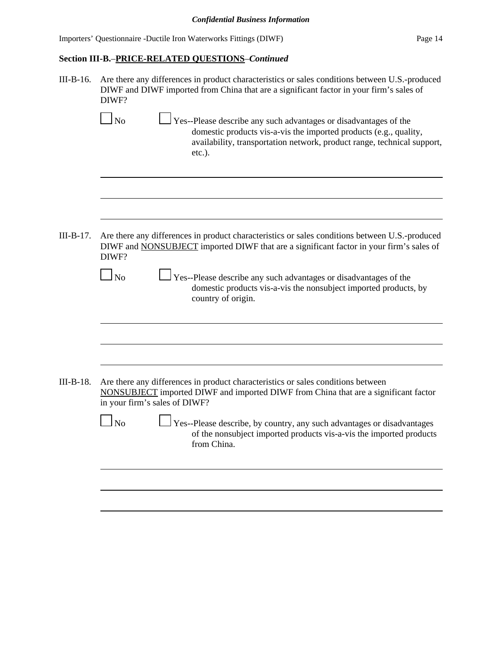# **Section III-B.**–**PRICE-RELATED QUESTIONS**–*Continued*

| $III-B-16.$ | Are there any differences in product characteristics or sales conditions between U.S.-produced<br>DIWF and DIWF imported from China that are a significant factor in your firm's sales of<br>DIWF?                                      |  |  |  |  |  |
|-------------|-----------------------------------------------------------------------------------------------------------------------------------------------------------------------------------------------------------------------------------------|--|--|--|--|--|
|             | Yes--Please describe any such advantages or disadvantages of the<br>$\Box$ No<br>domestic products vis-a-vis the imported products (e.g., quality,<br>availability, transportation network, product range, technical support,<br>etc.). |  |  |  |  |  |
|             |                                                                                                                                                                                                                                         |  |  |  |  |  |
| $III-B-17.$ | Are there any differences in product characteristics or sales conditions between U.S.-produced<br>DIWF and NONSUBJECT imported DIWF that are a significant factor in your firm's sales of<br>DIWF?                                      |  |  |  |  |  |
|             | Yes--Please describe any such advantages or disadvantages of the<br>$\Box$ No<br>domestic products vis-a-vis the nonsubject imported products, by<br>country of origin.                                                                 |  |  |  |  |  |
|             |                                                                                                                                                                                                                                         |  |  |  |  |  |
| $III-B-18.$ | Are there any differences in product characteristics or sales conditions between<br>NONSUBJECT imported DIWF and imported DIWF from China that are a significant factor<br>in your firm's sales of DIWF?                                |  |  |  |  |  |
|             | Yes--Please describe, by country, any such advantages or disadvantages<br>N <sub>o</sub><br>of the nonsubject imported products vis-a-vis the imported products<br>from China.                                                          |  |  |  |  |  |
|             |                                                                                                                                                                                                                                         |  |  |  |  |  |